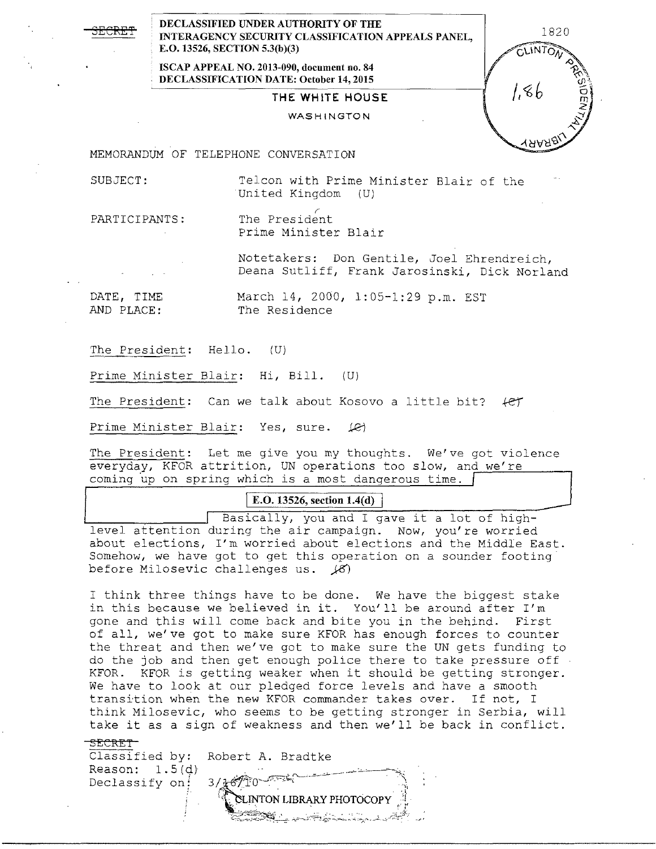**DECLASSIFIED UNDER AUTHORITY OF THE INTERAGENCY SECURITY CLASSIFICATION APPEALS PANEL, 1820 E.O. 13526, SECTION 5.3(b)(3)** 

> **ISCAP APPEAL NO. 2013-090, document no. 84 DECLASSIFICATION DATE: October 14, 2015**

## **THE WHITE HOUSE**

#### WASHINGTON

MEMORANDUM OF TELEPHONE CONVERSATION

SUBJECT: Telcon with Prime Minister Blair of the United Kingdom (U)

**LINTO** 

 $1.86$ 

PARTICIPANTS: The President Prime Minister Blair

> Notetakers: Don Gentile, Joel Ehrendreich, Deana Sutliff, Frank Jarosinski, Dick Norland

DATE, TIME March 14, 2000, 1:05-1:29 p.m. EST<br>AND PLACE: The Residence The Residence

The President: Hello. (U)

Prime Minister Blair: Hi, Bill. (U)

The President: Can we talk about Kosovo a little bit?  $f$ er

Prime Minister Blair: Yes, sure. (e)

The President: Let me give you my thoughts. We've got violence everyday, KFOR attrition, UN operations too slow, and we're coming up on spring which is a most dangerous time.

# **E.O. 13526, section 1.4(d)**

Basically, you and I gave it a lot of highlevel attention during the air campaign. Now, you're worried about elections, I'm worried about elections and the Middle East. Somehow, we have got to get this operation on a sounder footing before Milosevic challenges us.  $(8)$ 

I think three things have to be done. We have the biggest stake in this because we believed in it. You'll be around after I'm gone and this will come back and bite you in the behind. First of all, we've got to make sure KFOR has enough forces to counter the threat and then we've got to make sure the UN gets funding to do the job and then get enough police there to take pressure off KFOR. KFOR is getting weaker when it should be getting stronger. We have to look at our pledged force levels and have a smooth transition when the new KFOR commander takes over. If not, I think Milosevic, who seems to be getting stronger in Serbia, will take it as a sign of weakness and then we'll be back in conflict.

SECRET<sup>-</sup>

Classified by: Robert A. Bradtke Reason: l.S(d) Declassify on: 37 **INTON LIBRARY PHOTOCOPY**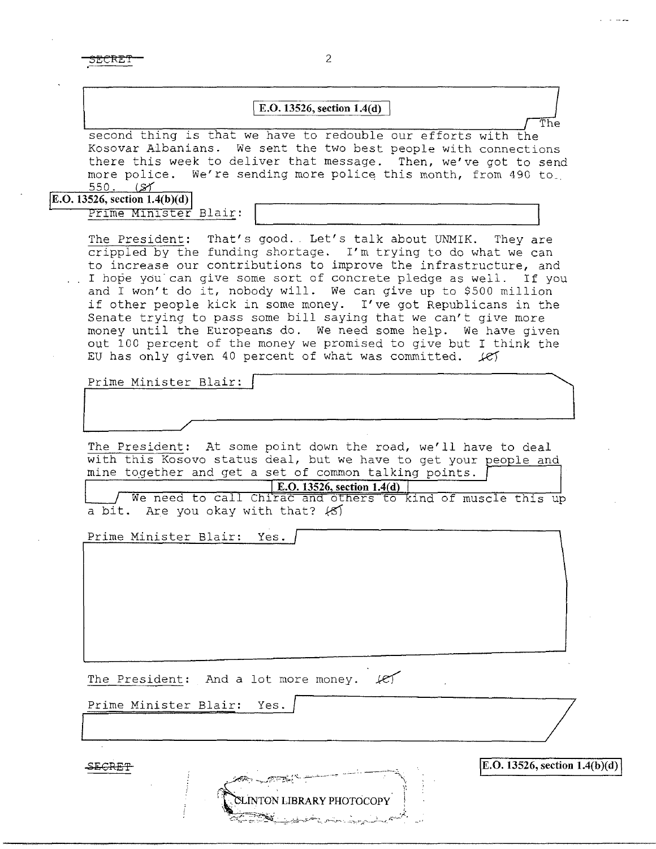### I **E.O. 13526, section 1.4(d)** /

second thing is that we have to redouble our efforts with the Kosovar Albanians. We sent the two best people with connections there this week to deliver that message. Then, we've got to send more police. We're sending more police this month, from 490 to. <u>550. (SY</u>

**E.O. 13526, section 1.4(b)(d)** Prime Minister Blair:

The President: That's good. Let's talk about UNMIK. They are crippled by the funding shortage. I'm trying to do what we can to increase our contributions to improve the infrastructure, and I hope you can give some sort of concrete pledge as well. If you and I won't do it, nobody will. We can give up to \$500 million if other people kick in some money. I've got Republicans in the Senate trying to pass some bill saying that we can't give more money until the Europeans do. We need some help. We have given out 100 percent of the money we promised to give but I think the EU has only given 40 percent of what was committed.  $k$ 

Prime Minister Blair:

 $\overline{\phantom{a}}$ 

The President: At some point down the road, we'll have to deal with this Kosovo status deal, but we have to get your people and mine together and get a set of common talking points.

E.O. 13526, section  $1.4(d)$ 

We need to call Chirac and others to kind of muscle this up a bit. Are you okay with that?  $\langle \mathcal{S} \rangle$ 

**INTON LIBRARY PHOTOCOPY** 

Prime Minister Blair: Yes.

The President: And a lot more money.  $\mathcal{L}$ The President: And a lot more money. (2)<br>Prime Minister Blair: Yes.

Prime Minister Blair: Yes.

SECRET

\E.O. **13526, section l.4(b)(d)** \

*I*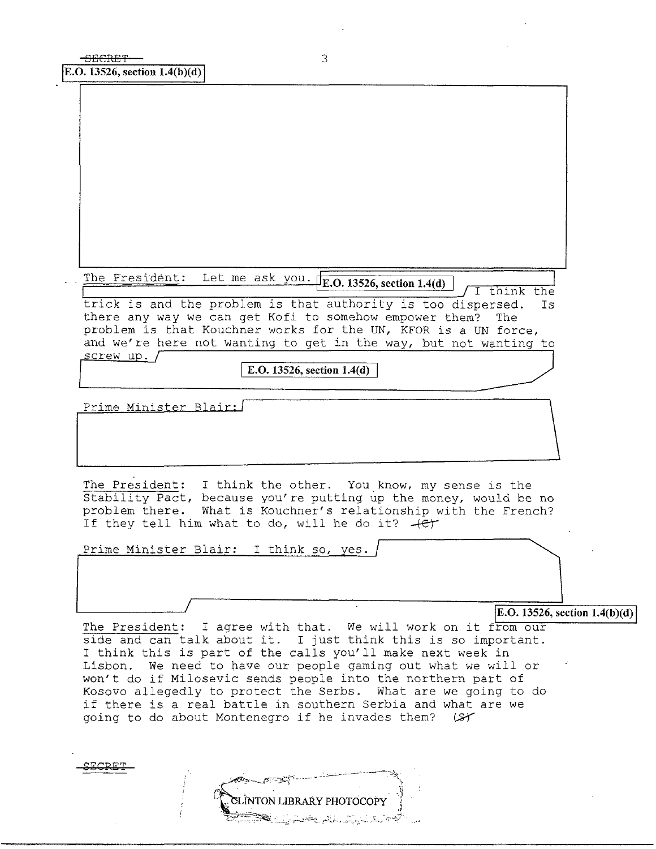| The Fresident: Let me ask you. F.O. 13526, section 1.4(d)<br>think the<br>trick is and the problem is that authority is too dispersed.<br>Ιs                                                                                                                                                                                      |  |
|-----------------------------------------------------------------------------------------------------------------------------------------------------------------------------------------------------------------------------------------------------------------------------------------------------------------------------------|--|
| there any way we can get Kofi to somehow empower them?<br>The<br>problem is that Kouchner works for the UN, KFOR is a UN force,<br>and we're here not wanting to get in the way, but not wanting to                                                                                                                               |  |
| <u>screw</u> up.<br>E.O. 13526, section 1.4(d)                                                                                                                                                                                                                                                                                    |  |
| Prime Minister Blair:                                                                                                                                                                                                                                                                                                             |  |
| The President: I think the other. You know, my sense is the<br>Stability Pact, because you're putting up the money, would be no<br>problem there. What is Kouchner's relationship with the French?<br>If they tell him what to do, will he do it? $+e^{+}$                                                                        |  |
| Prime Minister Blair: I think so, yes.                                                                                                                                                                                                                                                                                            |  |
| E.O. 13526, section $1.4(b)(d)$                                                                                                                                                                                                                                                                                                   |  |
| The President: I agree with that. We will work on it from our<br>side and can talk about it. I just think this is so important.<br>I think this is part of the calls you'll make next week in<br>We need to have our people gaming out what we will or<br>Lisbon.<br>won't do if Milosevic sends people into the northern part of |  |
| Kosovo allegedly to protect the Serbs. What are we going to do<br>if there is a real battle in southern Serbia and what are we<br>going to do about Montenegro if he invades them?<br>سمحينا                                                                                                                                      |  |

**SECRET** 

 $\frac{1}{2}$ 

j.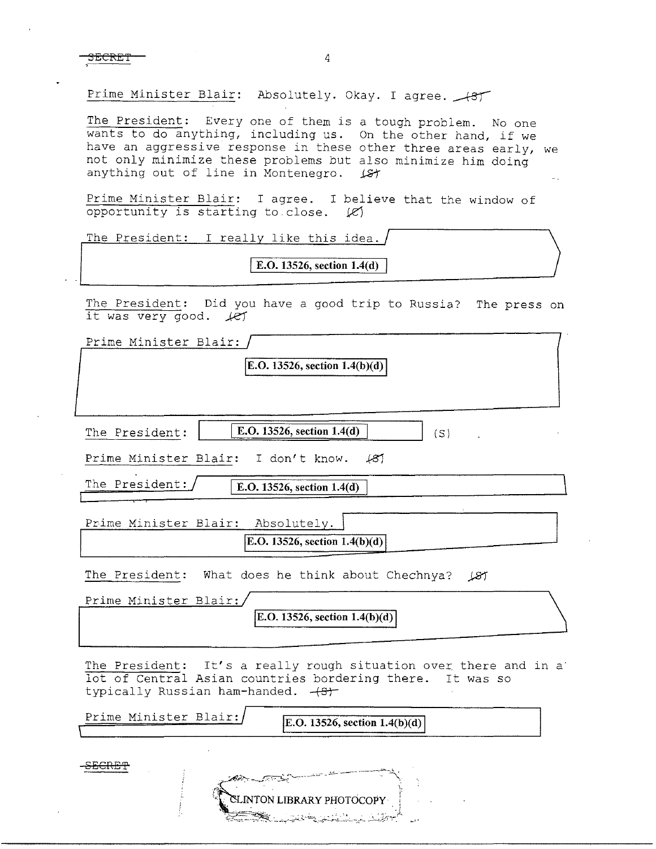SECRET 4

Prime Minister Blair: Absolutely. Okay. I agree.

The President: Every one of them is a tough problem. No one wants to do anything, including us. On the other hand, if we have an aggressive response in these other three areas early, we not only minimize these problems but also minimize him doing anything out of line in Montenegro.  $\sqrt{s}t$ 

Prime Minister Blair: I agree. I believe that the window of opportunity is starting to close. *iZ)* 

| The President: I really like this idea. |  |
|-----------------------------------------|--|
| E.O. 13526, section 1.4(d)              |  |

The President: Did you have a good trip to Russia? The press on it was very good.  $LT$ 

Prime Minister Blair:

 $E.O. 13526$ , section  $1.4(b)(d)$ 

| The President: | E.O. 13526, section $1.4(d)$ |  |
|----------------|------------------------------|--|
|                |                              |  |

Prime Minister Blair: I don't know.  $\angle$ 87

The President:

Prime Minister Blair: Absolutely. **E.O. 13526, section 1.4(b)(d)** 

**E.O. 13526, section 1.4(d)** 

The President: What does he think about Chechnya? (27

| Prime Minister Blair:/ |                                    |
|------------------------|------------------------------------|
|                        | [E.O. 13526, section $1.4(b)(d)$ ] |
|                        |                                    |

The President: It's a really rough situation over there and in a lot of Central Asian countries bordering there. It was so typically Russian ham-handed.  $+8t$ 

| Prime Minister Blair:/ | E.O. 13526, section $1.4(b)(d)$              |
|------------------------|----------------------------------------------|
|                        |                                              |
|                        | المستشرف فتستنقذ فالمتشارب والمراري والمراري |

**XLINTON LIBRARY PHOTOCOPY**